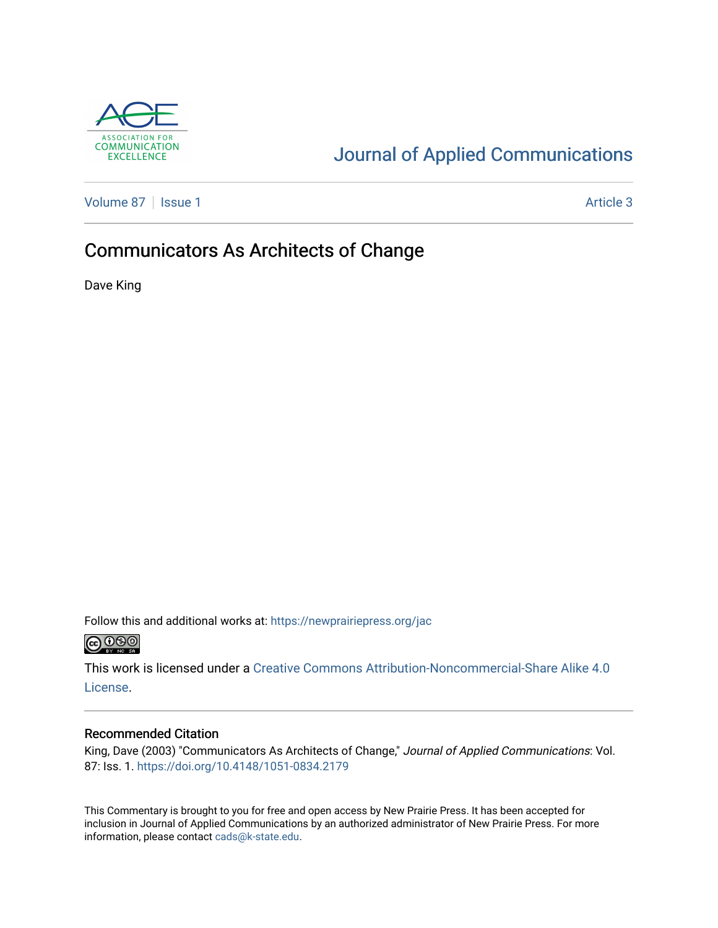

# [Journal of Applied Communications](https://newprairiepress.org/jac)

[Volume 87](https://newprairiepress.org/jac/vol87) | [Issue 1](https://newprairiepress.org/jac/vol87/iss1) Article 3

## Communicators As Architects of Change

Dave King

Follow this and additional works at: [https://newprairiepress.org/jac](https://newprairiepress.org/jac?utm_source=newprairiepress.org%2Fjac%2Fvol87%2Fiss1%2F3&utm_medium=PDF&utm_campaign=PDFCoverPages)  $\bigcirc$  0.90

This work is licensed under a [Creative Commons Attribution-Noncommercial-Share Alike 4.0](https://creativecommons.org/licenses/by-nc-sa/4.0/) [License.](https://creativecommons.org/licenses/by-nc-sa/4.0/)

#### Recommended Citation

King, Dave (2003) "Communicators As Architects of Change," Journal of Applied Communications: Vol. 87: Iss. 1. <https://doi.org/10.4148/1051-0834.2179>

This Commentary is brought to you for free and open access by New Prairie Press. It has been accepted for inclusion in Journal of Applied Communications by an authorized administrator of New Prairie Press. For more information, please contact [cads@k-state.edu](mailto:cads@k-state.edu).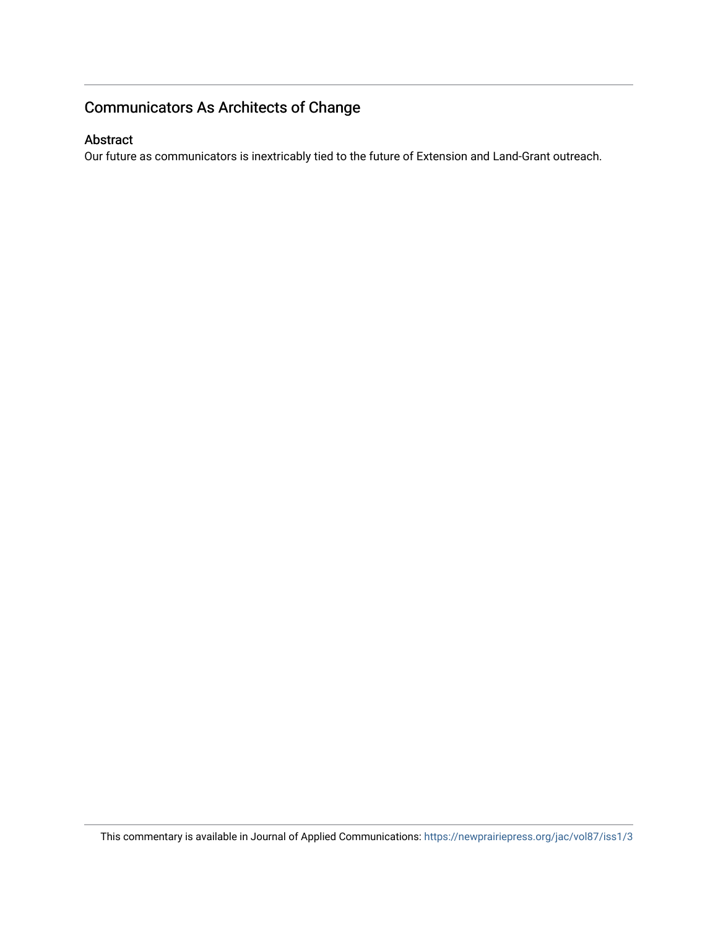## Communicators As Architects of Change

#### Abstract

Our future as communicators is inextricably tied to the future of Extension and Land-Grant outreach.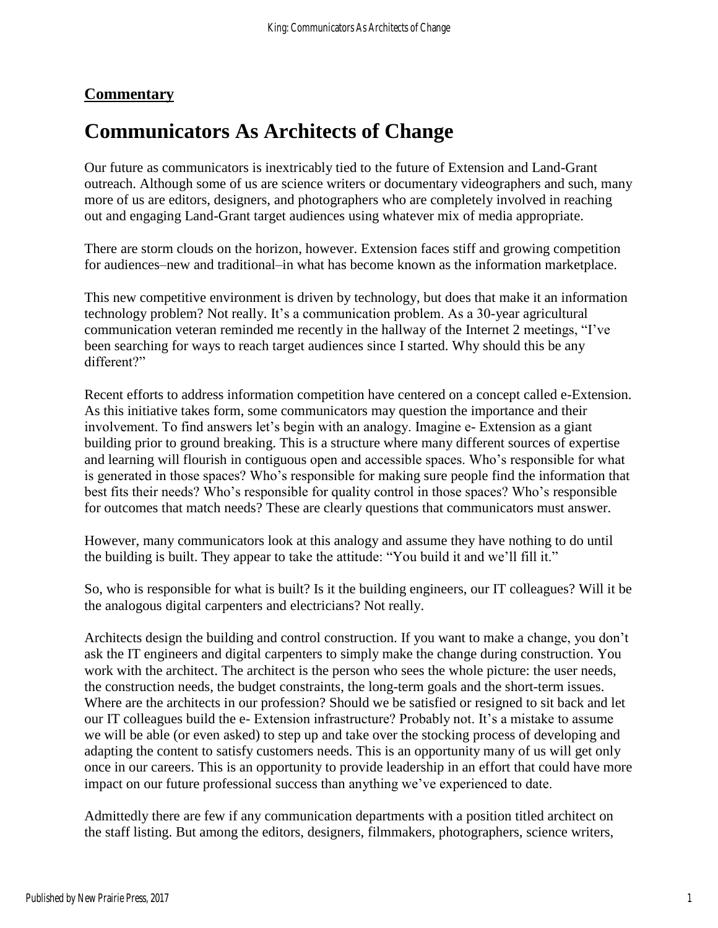### **Commentary**

# **Communicators As Architects of Change**

Our future as communicators is inextricably tied to the future of Extension and Land-Grant outreach. Although some of us are science writers or documentary videographers and such, many more of us are editors, designers, and photographers who are completely involved in reaching out and engaging Land-Grant target audiences using whatever mix of media appropriate.

There are storm clouds on the horizon, however. Extension faces stiff and growing competition for audiences–new and traditional–in what has become known as the information marketplace.

This new competitive environment is driven by technology, but does that make it an information technology problem? Not really. It's a communication problem. As a 30-year agricultural communication veteran reminded me recently in the hallway of the Internet 2 meetings, "I've been searching for ways to reach target audiences since I started. Why should this be any different?"

Recent efforts to address information competition have centered on a concept called e-Extension. As this initiative takes form, some communicators may question the importance and their involvement. To find answers let's begin with an analogy. Imagine e- Extension as a giant building prior to ground breaking. This is a structure where many different sources of expertise and learning will flourish in contiguous open and accessible spaces. Who's responsible for what is generated in those spaces? Who's responsible for making sure people find the information that best fits their needs? Who's responsible for quality control in those spaces? Who's responsible for outcomes that match needs? These are clearly questions that communicators must answer.

However, many communicators look at this analogy and assume they have nothing to do until the building is built. They appear to take the attitude: "You build it and we'll fill it."

So, who is responsible for what is built? Is it the building engineers, our IT colleagues? Will it be the analogous digital carpenters and electricians? Not really.

Architects design the building and control construction. If you want to make a change, you don't ask the IT engineers and digital carpenters to simply make the change during construction. You work with the architect. The architect is the person who sees the whole picture: the user needs, the construction needs, the budget constraints, the long-term goals and the short-term issues. Where are the architects in our profession? Should we be satisfied or resigned to sit back and let our IT colleagues build the e- Extension infrastructure? Probably not. It's a mistake to assume we will be able (or even asked) to step up and take over the stocking process of developing and adapting the content to satisfy customers needs. This is an opportunity many of us will get only once in our careers. This is an opportunity to provide leadership in an effort that could have more impact on our future professional success than anything we've experienced to date.

Admittedly there are few if any communication departments with a position titled architect on the staff listing. But among the editors, designers, filmmakers, photographers, science writers,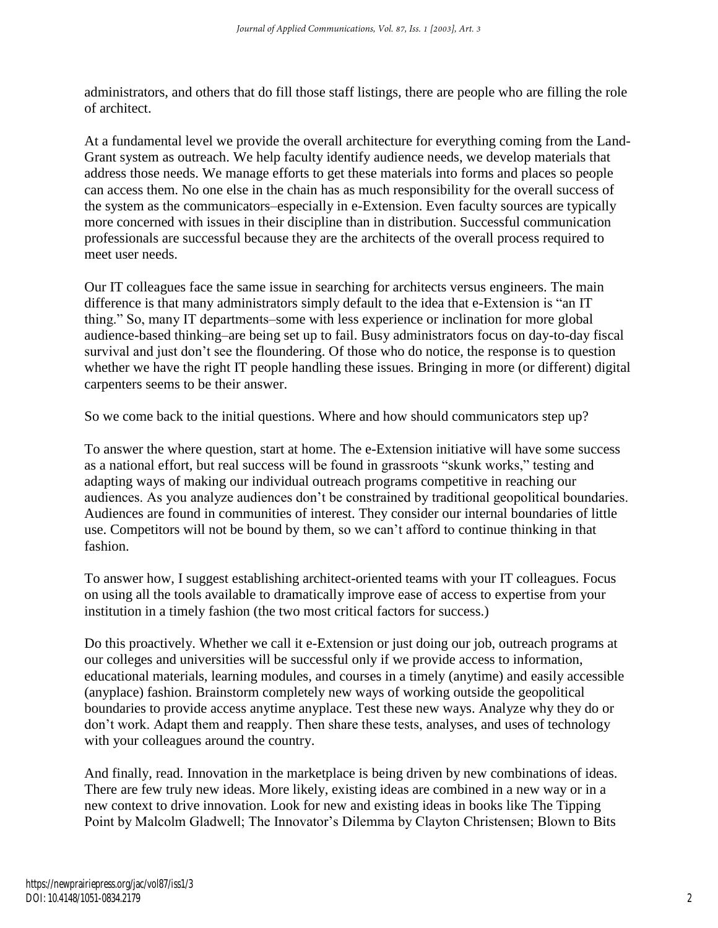administrators, and others that do fill those staff listings, there are people who are filling the role of architect.

At a fundamental level we provide the overall architecture for everything coming from the Land-Grant system as outreach. We help faculty identify audience needs, we develop materials that address those needs. We manage efforts to get these materials into forms and places so people can access them. No one else in the chain has as much responsibility for the overall success of the system as the communicators–especially in e-Extension. Even faculty sources are typically more concerned with issues in their discipline than in distribution. Successful communication professionals are successful because they are the architects of the overall process required to meet user needs.

Our IT colleagues face the same issue in searching for architects versus engineers. The main difference is that many administrators simply default to the idea that e-Extension is "an IT thing." So, many IT departments–some with less experience or inclination for more global audience-based thinking–are being set up to fail. Busy administrators focus on day-to-day fiscal survival and just don't see the floundering. Of those who do notice, the response is to question whether we have the right IT people handling these issues. Bringing in more (or different) digital carpenters seems to be their answer.

So we come back to the initial questions. Where and how should communicators step up?

To answer the where question, start at home. The e-Extension initiative will have some success as a national effort, but real success will be found in grassroots "skunk works," testing and adapting ways of making our individual outreach programs competitive in reaching our audiences. As you analyze audiences don't be constrained by traditional geopolitical boundaries. Audiences are found in communities of interest. They consider our internal boundaries of little use. Competitors will not be bound by them, so we can't afford to continue thinking in that fashion.

To answer how, I suggest establishing architect-oriented teams with your IT colleagues. Focus on using all the tools available to dramatically improve ease of access to expertise from your institution in a timely fashion (the two most critical factors for success.)

Do this proactively. Whether we call it e-Extension or just doing our job, outreach programs at our colleges and universities will be successful only if we provide access to information, educational materials, learning modules, and courses in a timely (anytime) and easily accessible (anyplace) fashion. Brainstorm completely new ways of working outside the geopolitical boundaries to provide access anytime anyplace. Test these new ways. Analyze why they do or don't work. Adapt them and reapply. Then share these tests, analyses, and uses of technology with your colleagues around the country.

And finally, read. Innovation in the marketplace is being driven by new combinations of ideas. There are few truly new ideas. More likely, existing ideas are combined in a new way or in a new context to drive innovation. Look for new and existing ideas in books like The Tipping Point by Malcolm Gladwell; The Innovator's Dilemma by Clayton Christensen; Blown to Bits